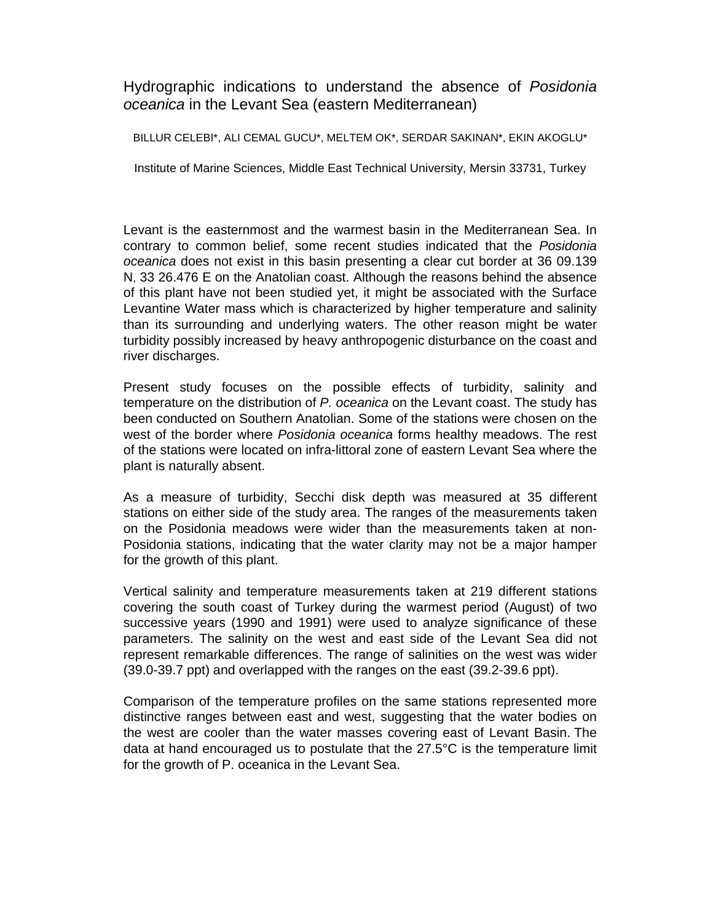Hydrographic indications to understand the absence of *Posidonia oceanica* in the Levant Sea (eastern Mediterranean)

BILLUR CELEBI\*, ALI CEMAL GUCU\*, MELTEM OK\*, SERDAR SAKINAN\*, EKIN AKOGLU\*

Institute of Marine Sciences, Middle East Technical University, Mersin 33731, Turkey

Levant is the easternmost and the warmest basin in the Mediterranean Sea. In contrary to common belief, some recent studies indicated that the *Posidonia oceanica* does not exist in this basin presenting a clear cut border at 36 09.139 N, 33 26.476 E on the Anatolian coast. Although the reasons behind the absence of this plant have not been studied yet, it might be associated with the Surface Levantine Water mass which is characterized by higher temperature and salinity than its surrounding and underlying waters. The other reason might be water turbidity possibly increased by heavy anthropogenic disturbance on the coast and river discharges.

Present study focuses on the possible effects of turbidity, salinity and temperature on the distribution of *P. oceanica* on the Levant coast. The study has been conducted on Southern Anatolian. Some of the stations were chosen on the west of the border where *Posidonia oceanica* forms healthy meadows. The rest of the stations were located on infra-littoral zone of eastern Levant Sea where the plant is naturally absent.

As a measure of turbidity, Secchi disk depth was measured at 35 different stations on either side of the study area. The ranges of the measurements taken on the Posidonia meadows were wider than the measurements taken at non-Posidonia stations, indicating that the water clarity may not be a major hamper for the growth of this plant.

Vertical salinity and temperature measurements taken at 219 different stations covering the south coast of Turkey during the warmest period (August) of two successive years (1990 and 1991) were used to analyze significance of these parameters. The salinity on the west and east side of the Levant Sea did not represent remarkable differences. The range of salinities on the west was wider (39.0-39.7 ppt) and overlapped with the ranges on the east (39.2-39.6 ppt).

Comparison of the temperature profiles on the same stations represented more distinctive ranges between east and west, suggesting that the water bodies on the west are cooler than the water masses covering east of Levant Basin. The data at hand encouraged us to postulate that the 27.5°C is the temperature limit for the growth of P. oceanica in the Levant Sea.